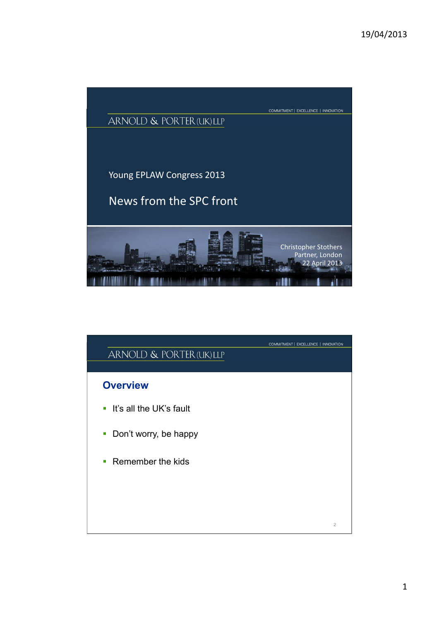

| ARNOLD & PORTER (UK) LLP         | COMMITMENT   EXCELLENCE   INNOVATION |
|----------------------------------|--------------------------------------|
| <b>Overview</b>                  |                                      |
| • It's all the UK's fault        |                                      |
| Don't worry, be happy<br>I.      |                                      |
| $\blacksquare$ Remember the kids |                                      |
|                                  |                                      |
|                                  | $\overline{2}$                       |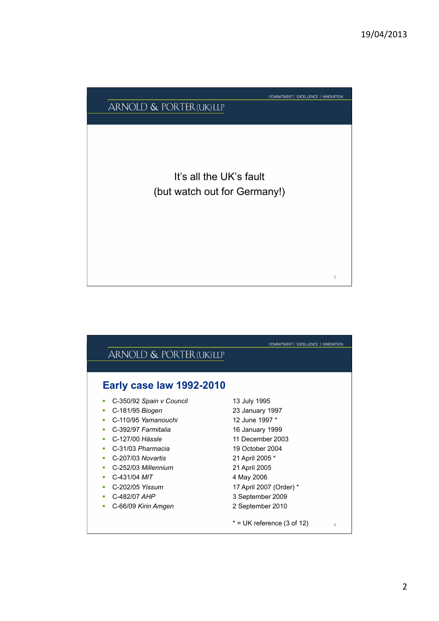# COMMITMENT | EXCELLENCE | INNOVATION ARNOLD & PORTER (UK) LLP It's all the UK's fault (but watch out for Germany!) 3

|                            | COMMITMENT   EXCELLENCE   INNOVATION |
|----------------------------|--------------------------------------|
| ARNOLD & PORTER (UK) LLP   |                                      |
|                            |                                      |
| Early case law 1992-2010   |                                      |
| • C-350/92 Spain v Council | 13 July 1995                         |
| C-181/95 Biogen            | 23 January 1997                      |
| C-110/95 Yamanouchi        | 12 June 1997 *                       |
| C-392/97 Farmitalia        | 16 January 1999                      |
| C-127/00 Hässle            | 11 December 2003                     |
| C-31/03 Pharmacia          | 19 October 2004                      |
| C-207/03 Novartis          | 21 April 2005 *                      |
| C-252/03 Millennium        | 21 April 2005                        |
| C-431/04 <i>MIT</i>        | 4 May 2006                           |
| C-202/05 Yissum            | 17 April 2007 (Order) *              |

- C-482/07 *AHP* 3 September 2009
- C-66/09 *Kirin Amgen* 2 September 2010
	- $*$  = UK reference (3 of 12)  $44$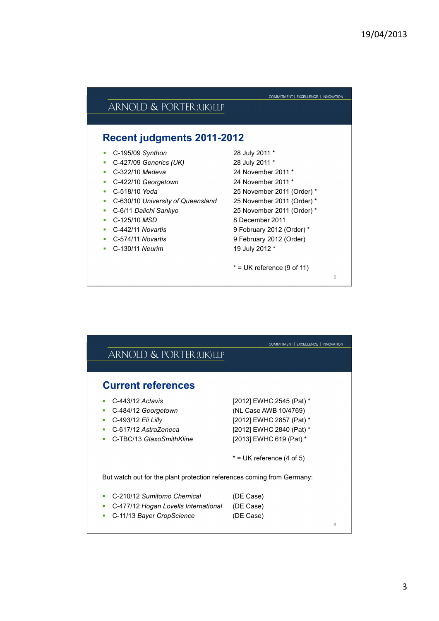|  | ARNOLD & PORTER (UK) LLP |
|--|--------------------------|
|--|--------------------------|

#### **Recent judgments 2011-2012**

- C-195/09 *Synthon* 28 July 2011 \*
- C-427/09 *Generics (UK)* 28 July 2011 \*
- C-322/10 *Medeva* 24 November 2011 \*
- C-422/10 *Georgetown* 24 November 2011 \*
- 
- C-630/10 *University of Queensland* 25 November 2011 (Order) \*
- 
- 
- 
- 
- C-130/11 *Neurim* 19 July 2012 \*
- C-518/10 *Yeda* 25 November 2011 (Order) \* C-6/11 *Daiichi Sankyo* 25 November 2011 (Order) \* C-125/10 *MSD* 8 December 2011 C-442/11 *Novartis* 9 February 2012 (Order) \* C-574/11 *Novartis* 9 February 2012 (Order)

COMMITMENT | EXCELLENCE | INNOVATION

 $*$  = UK reference (9 of 11)

5

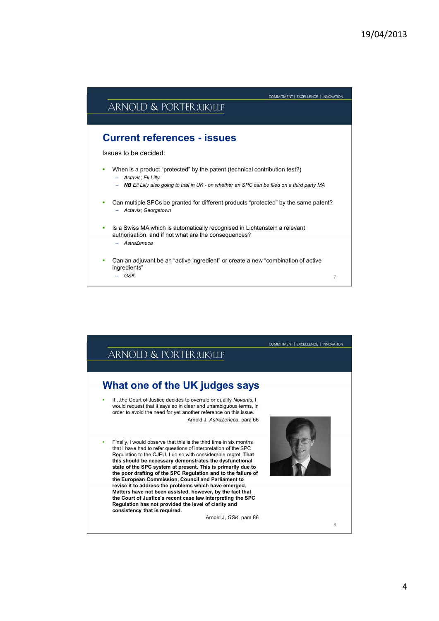

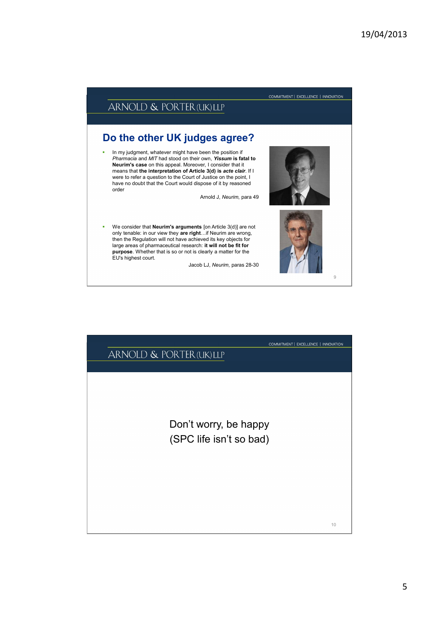

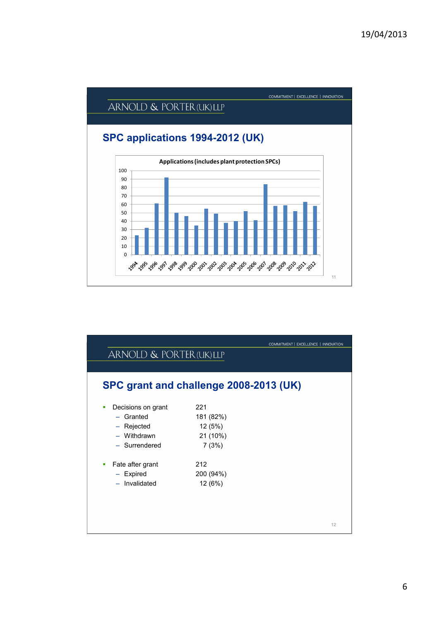

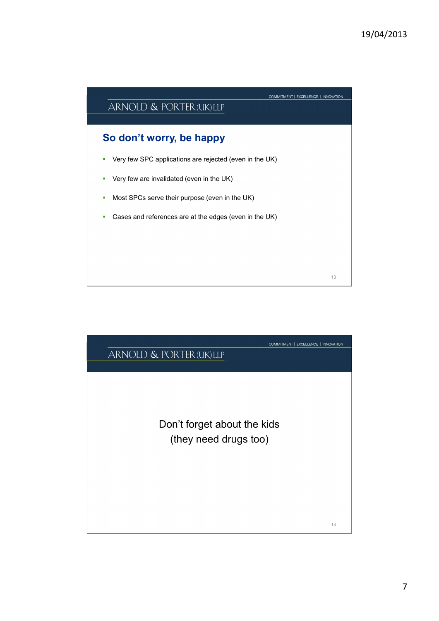

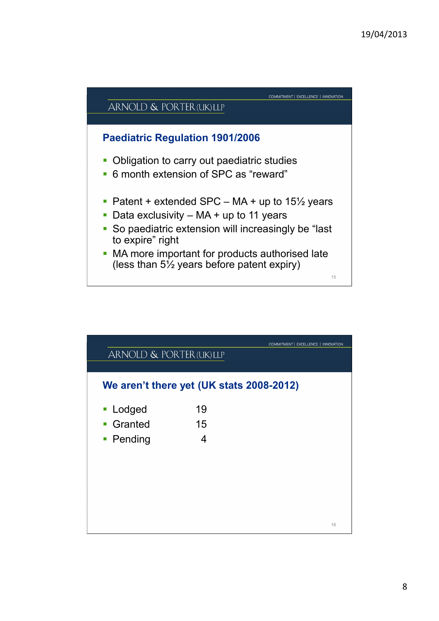

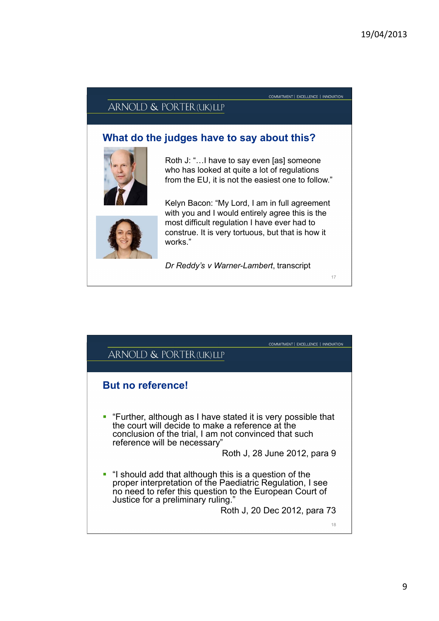COMMITMENT | EXCELLENCE | INNOVATION

#### ARNOLD & PORTER (UK) LLP

### **What do the judges have to say about this?**



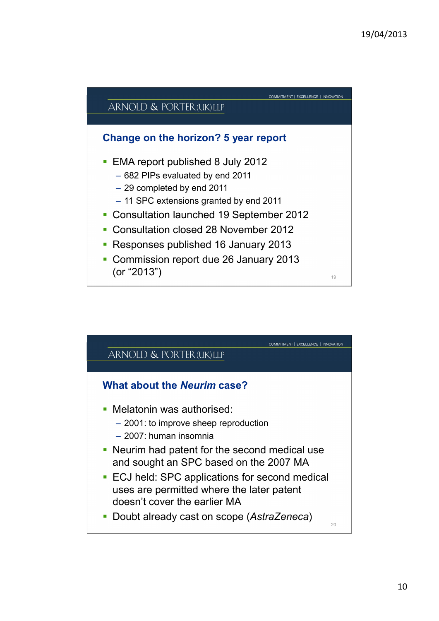

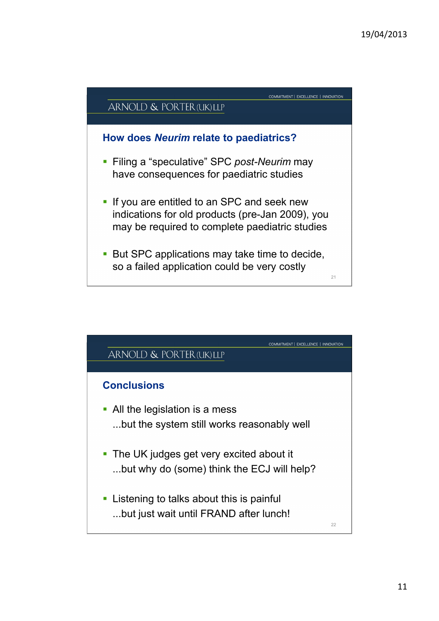